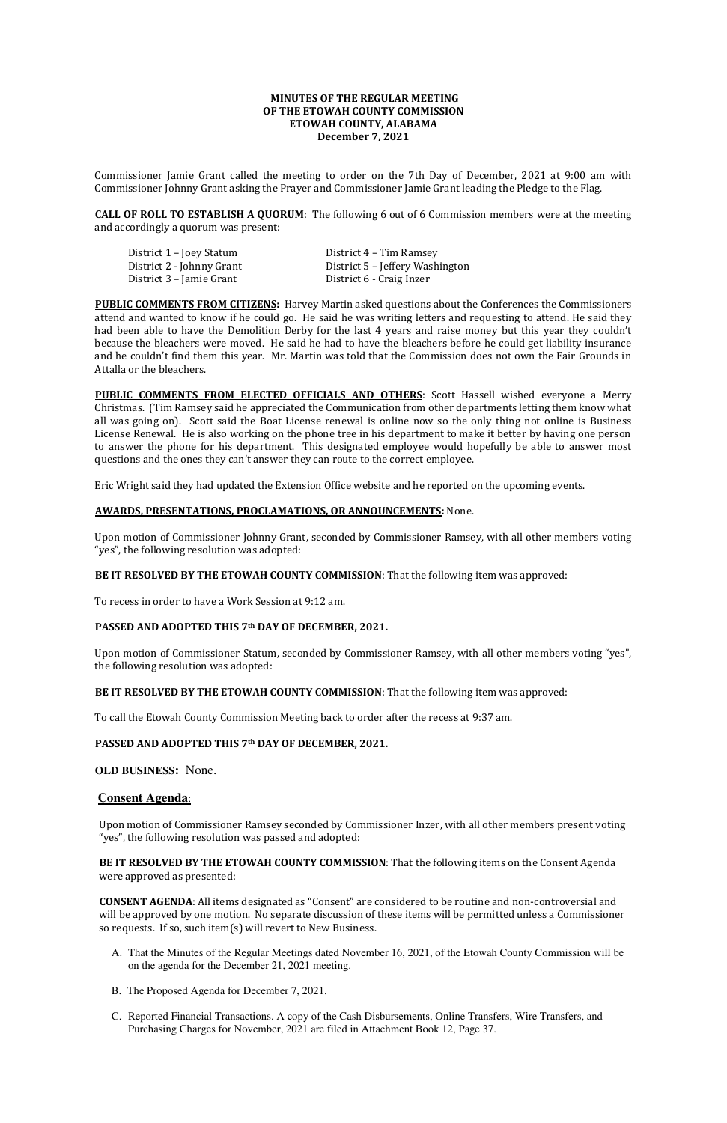# **MINUTES OF THE REGULAR MEETING OF THE ETOWAH COUNTY COMMISSION ETOWAH COUNTY, ALABAMA December 7, 2021**

Commissioner Jamie Grant called the meeting to order on the 7th Day of December, 2021 at 9:00 am with Commissioner Johnny Grant asking the Prayer and Commissioner Jamie Grant leading the Pledge to the Flag.

**CALL OF ROLL TO ESTABLISH A QUORUM**: The following 6 out of 6 Commission members were at the meeting and accordingly a quorum was present:

District 1 – Joey Statum District 4 – Tim Ramsey<br>District 2 - Johnny Grant District 5 – Jeffery Wash District 3 - Jamie Grant

District 5 - Jeffery Washington<br>District 6 - Craig Inzer

**PUBLIC COMMENTS FROM CITIZENS:** Harvey Martin asked questions about the Conferences the Commissioners attend and wanted to know if he could go. He said he was writing letters and requesting to attend. He said they had been able to have the Demolition Derby for the last 4 years and raise money but this year they couldn't because the bleachers were moved. He said he had to have the bleachers before he could get liability insurance and he couldn't find them this year. Mr. Martin was told that the Commission does not own the Fair Grounds in Attalla or the bleachers.

**PUBLIC COMMENTS FROM ELECTED OFFICIALS AND OTHERS:** Scott Hassell wished everyone a Merry Christmas. (Tim Ramsey said he appreciated the Communication from other departments letting them know what all was going on). Scott said the Boat License renewal is online now so the only thing not online is Business License Renewal. He is also working on the phone tree in his department to make it better by having one person to answer the phone for his department. This designated employee would hopefully be able to answer most questions and the ones they can't answer they can route to the correct employee.

Eric Wright said they had updated the Extension Office website and he reported on the upcoming events.

## **AWARDS, PRESENTATIONS, PROCLAMATIONS, OR ANNOUNCEMENTS:** None.

Upon motion of Commissioner Johnny Grant, seconded by Commissioner Ramsey, with all other members voting "yes", the following resolution was adopted:

**BE IT RESOLVED BY THE ETOWAH COUNTY COMMISSION**: That the following item was approved:

To recess in order to have a Work Session at 9:12 am.

## **PASSED AND ADOPTED THIS 7th DAY OF DECEMBER, 2021.**

Upon motion of Commissioner Statum, seconded by Commissioner Ramsey, with all other members voting "yes", the following resolution was adopted:

#### **BE IT RESOLVED BY THE ETOWAH COUNTY COMMISSION**: That the following item was approved:

To call the Etowah County Commission Meeting back to order after the recess at 9:37 am.

## **PASSED AND ADOPTED THIS 7th DAY OF DECEMBER, 2021.**

#### **OLD BUSINESS:** None.

## **Consent Agenda**:

Upon motion of Commissioner Ramsey seconded by Commissioner Inzer, with all other members present voting

"yes", the following resolution was passed and adopted:

**BE IT RESOLVED BY THE ETOWAH COUNTY COMMISSION**: That the following items on the Consent Agenda were approved as presented:

**CONSENT AGENDA**: All items designated as "Consent" are considered to be routine and non-controversial and will be approved by one motion. No separate discussion of these items will be permitted unless a Commissioner so requests. If so, such item(s) will revert to New Business.

- A. That the Minutes of the Regular Meetings dated November 16, 2021, of the Etowah County Commission will be on the agenda for the December 21, 2021 meeting.
- B. The Proposed Agenda for December 7, 2021.
- C. Reported Financial Transactions. A copy of the Cash Disbursements, Online Transfers, Wire Transfers, and Purchasing Charges for November, 2021 are filed in Attachment Book 12, Page 37.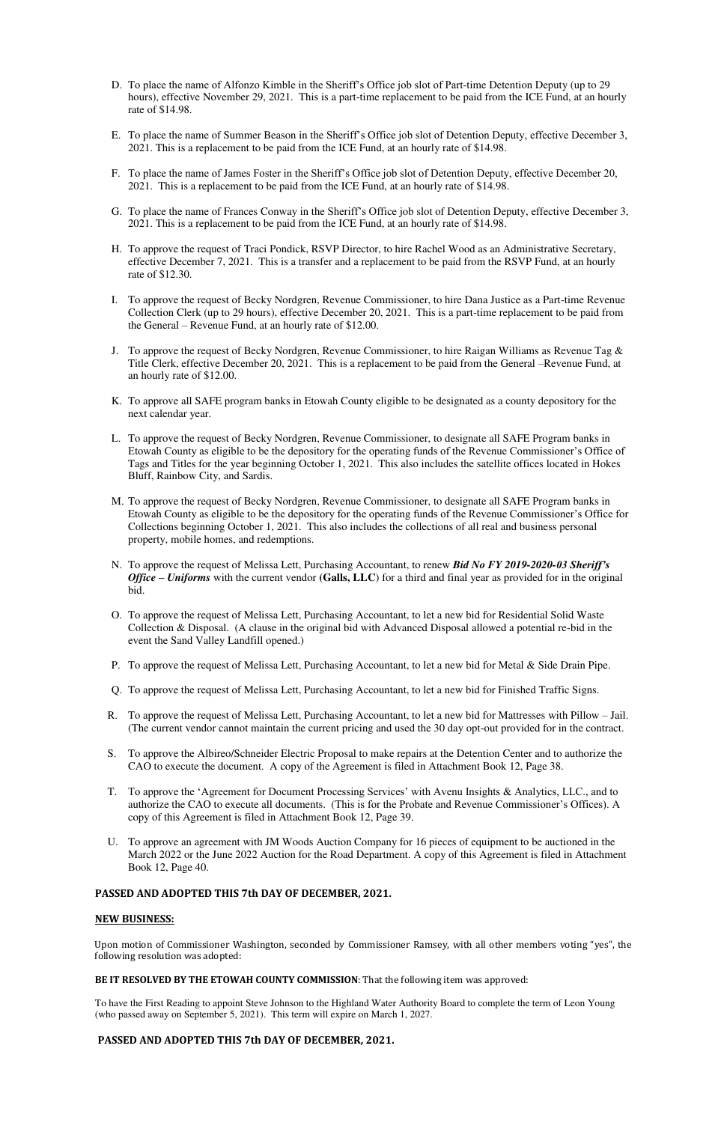- D. To place the name of Alfonzo Kimble in the Sheriff's Office job slot of Part-time Detention Deputy (up to 29 hours), effective November 29, 2021. This is a part-time replacement to be paid from the ICE Fund, at an hourly rate of \$14.98.
- E. To place the name of Summer Beason in the Sheriff's Office job slot of Detention Deputy, effective December 3, 2021. This is a replacement to be paid from the ICE Fund, at an hourly rate of \$14.98.
- F. To place the name of James Foster in the Sheriff's Office job slot of Detention Deputy, effective December 20, 2021. This is a replacement to be paid from the ICE Fund, at an hourly rate of \$14.98.
- G. To place the name of Frances Conway in the Sheriff's Office job slot of Detention Deputy, effective December 3, 2021. This is a replacement to be paid from the ICE Fund, at an hourly rate of \$14.98.
- H. To approve the request of Traci Pondick, RSVP Director, to hire Rachel Wood as an Administrative Secretary, effective December 7, 2021. This is a transfer and a replacement to be paid from the RSVP Fund, at an hourly rate of \$12.30.
- I. To approve the request of Becky Nordgren, Revenue Commissioner, to hire Dana Justice as a Part-time Revenue Collection Clerk (up to 29 hours), effective December 20, 2021. This is a part-time replacement to be paid from the General – Revenue Fund, at an hourly rate of \$12.00.
- J. To approve the request of Becky Nordgren, Revenue Commissioner, to hire Raigan Williams as Revenue Tag & Title Clerk, effective December 20, 2021. This is a replacement to be paid from the General –Revenue Fund, at an hourly rate of \$12.00.
- K. To approve all SAFE program banks in Etowah County eligible to be designated as a county depository for the next calendar year.
- L. To approve the request of Becky Nordgren, Revenue Commissioner, to designate all SAFE Program banks in Etowah County as eligible to be the depository for the operating funds of the Revenue Commissioner's Office of Tags and Titles for the year beginning October 1, 2021. This also includes the satellite offices located in Hokes Bluff, Rainbow City, and Sardis.
- M. To approve the request of Becky Nordgren, Revenue Commissioner, to designate all SAFE Program banks in Etowah County as eligible to be the depository for the operating funds of the Revenue Commissioner's Office for Collections beginning October 1, 2021. This also includes the collections of all real and business personal property, mobile homes, and redemptions.
- N. To approve the request of Melissa Lett, Purchasing Accountant, to renew *Bid No FY 2019-2020-03 Sheriff's Office – Uniforms* with the current vendor **(Galls, LLC**) for a third and final year as provided for in the original bid.
- O. To approve the request of Melissa Lett, Purchasing Accountant, to let a new bid for Residential Solid Waste Collection & Disposal. (A clause in the original bid with Advanced Disposal allowed a potential re-bid in the event the Sand Valley Landfill opened.)
- P. To approve the request of Melissa Lett, Purchasing Accountant, to let a new bid for Metal & Side Drain Pipe.
- Q. To approve the request of Melissa Lett, Purchasing Accountant, to let a new bid for Finished Traffic Signs.
- R. To approve the request of Melissa Lett, Purchasing Accountant, to let a new bid for Mattresses with Pillow Jail. (The current vendor cannot maintain the current pricing and used the 30 day opt-out provided for in the contract.
- S. To approve the Albireo/Schneider Electric Proposal to make repairs at the Detention Center and to authorize the CAO to execute the document. A copy of the Agreement is filed in Attachment Book 12, Page 38.
- T. To approve the 'Agreement for Document Processing Services' with Avenu Insights & Analytics, LLC., and to authorize the CAO to execute all documents. (This is for the Probate and Revenue Commissioner's Offices). A copy of this Agreement is filed in Attachment Book 12, Page 39.
- U. To approve an agreement with JM Woods Auction Company for 16 pieces of equipment to be auctioned in the March 2022 or the June 2022 Auction for the Road Department. A copy of this Agreement is filed in Attachment Book 12, Page 40.

# **PASSED AND ADOPTED THIS 7th DAY OF DECEMBER, 2021.**

# **NEW BUSINESS:**

Upon motion of Commissioner Washington, seconded by Commissioner Ramsey, with all other members voting "yes", the following resolution was adopted:

#### **BE IT RESOLVED BY THE ETOWAH COUNTY COMMISSION**: That the following item was approved:

To have the First Reading to appoint Steve Johnson to the Highland Water Authority Board to complete the term of Leon Young (who passed away on September 5, 2021). This term will expire on March 1, 2027.

# **PASSED AND ADOPTED THIS 7th DAY OF DECEMBER, 2021.**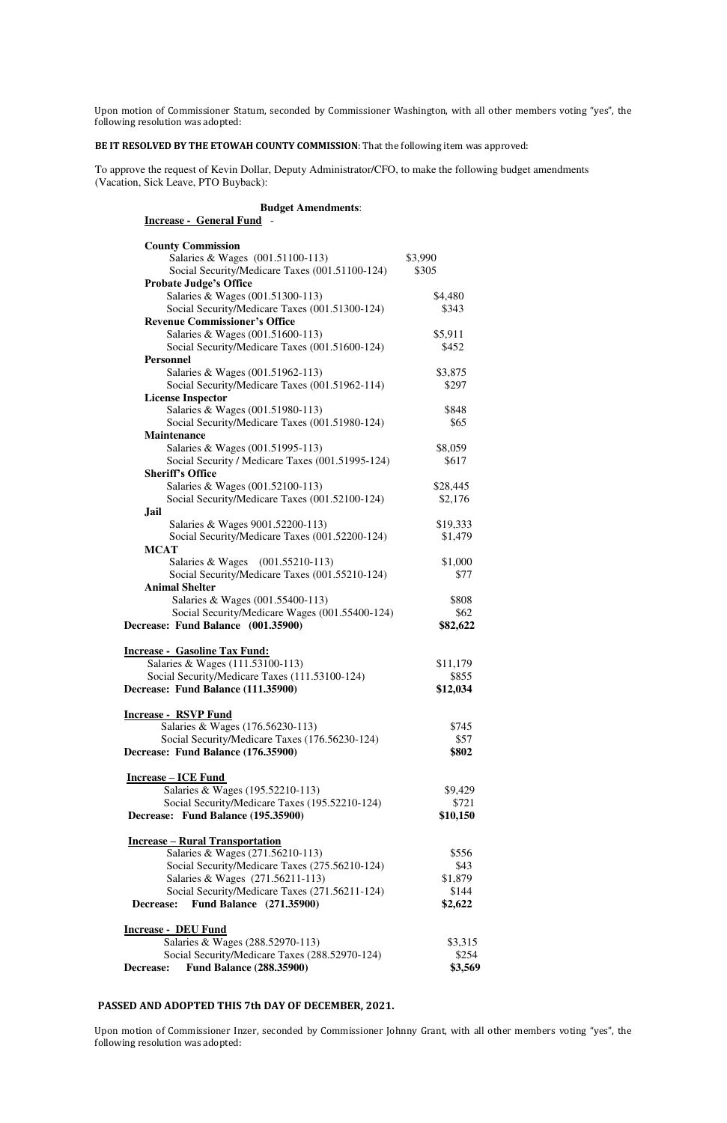Upon motion of Commissioner Statum, seconded by Commissioner Washington, with all other members voting "yes", the following resolution was adopted:

**BE IT RESOLVED BY THE ETOWAH COUNTY COMMISSION**: That the following item was approved:

To approve the request of Kevin Dollar, Deputy Administrator/CFO, to make the following budget amendments (Vacation, Sick Leave, PTO Buyback):

|                         | <b>Budget Amendments:</b> |
|-------------------------|---------------------------|
| Increase - General Fund |                           |

| <b>County Commission</b>                         |          |
|--------------------------------------------------|----------|
| Salaries & Wages (001.51100-113)                 | \$3,990  |
| Social Security/Medicare Taxes (001.51100-124)   | \$305    |
| <b>Probate Judge's Office</b>                    |          |
| Salaries & Wages (001.51300-113)                 | \$4,480  |
| Social Security/Medicare Taxes (001.51300-124)   | \$343    |
| <b>Revenue Commissioner's Office</b>             |          |
| Salaries & Wages (001.51600-113)                 | \$5,911  |
| Social Security/Medicare Taxes (001.51600-124)   | \$452    |
| <b>Personnel</b>                                 |          |
| Salaries & Wages (001.51962-113)                 | \$3,875  |
| Social Security/Medicare Taxes (001.51962-114)   | \$297    |
| <b>License Inspector</b>                         |          |
| Salaries & Wages (001.51980-113)                 | \$848    |
| Social Security/Medicare Taxes (001.51980-124)   | \$65     |
| <b>Maintenance</b>                               |          |
| Salaries & Wages (001.51995-113)                 | \$8,059  |
| Social Security / Medicare Taxes (001.51995-124) | \$617    |
| <b>Sheriff's Office</b>                          |          |
| Salaries & Wages (001.52100-113)                 | \$28,445 |
| Social Security/Medicare Taxes (001.52100-124)   | \$2,176  |
| <b>Jail</b>                                      |          |
| Salaries & Wages 9001.52200-113)                 | \$19,333 |
| Social Security/Medicare Taxes (001.52200-124)   | \$1,479  |
| <b>MCAT</b>                                      |          |
| Salaries & Wages (001.55210-113)                 | \$1,000  |
| Social Security/Medicare Taxes (001.55210-124)   | \$77     |
| <b>Animal Shelter</b>                            |          |
| Salaries & Wages (001.55400-113)                 | \$808    |
| Social Security/Medicare Wages (001.55400-124)   | \$62     |
| Decrease: Fund Balance (001.35900)               | \$82,622 |
|                                                  |          |
| <b>Increase - Gasoline Tax Fund:</b>             |          |
| Salaries & Wages (111.53100-113)                 | \$11,179 |
| Social Security/Medicare Taxes (111.53100-124)   | \$855    |
| Decrease: Fund Balance (111.35900)               | \$12,034 |
| <b>Increase - RSVP Fund</b>                      |          |
| Salaries & Wages (176.56230-113)                 | \$745    |
| Social Security/Medicare Taxes (176.56230-124)   | \$57     |
| Decrease: Fund Balance (176.35900)               | \$802    |
|                                                  |          |
| <b>Increase – ICE Fund</b>                       |          |
| Salaries & Wages (195.52210-113)                 | \$9,429  |
| Social Security/Medicare Taxes (195.52210-124)   | \$721    |
| Decrease: Fund Balance (195.35900)               | \$10,150 |

#### **Increase – Rural Transportation**

| Salaries & Wages (271.56210-113)               | \$556   |
|------------------------------------------------|---------|
| Social Security/Medicare Taxes (275.56210-124) | \$43    |
| Salaries & Wages (271.56211-113)               | \$1,879 |
| Social Security/Medicare Taxes (271.56211-124) | \$144   |
| Decrease: Fund Balance (271.35900)             | \$2,622 |

# **Increase - DEU Fund Salaries & Wages (288.52970-113) \$3,315** Social Security/Medicare Taxes (288.52970-124) \$254 **Decrease: Fund Balance (288.35900) \$3,569**

# **PASSED AND ADOPTED THIS 7th DAY OF DECEMBER, 2021.**

Upon motion of Commissioner Inzer, seconded by Commissioner Johnny Grant, with all other members voting "yes", the following resolution was adopted: